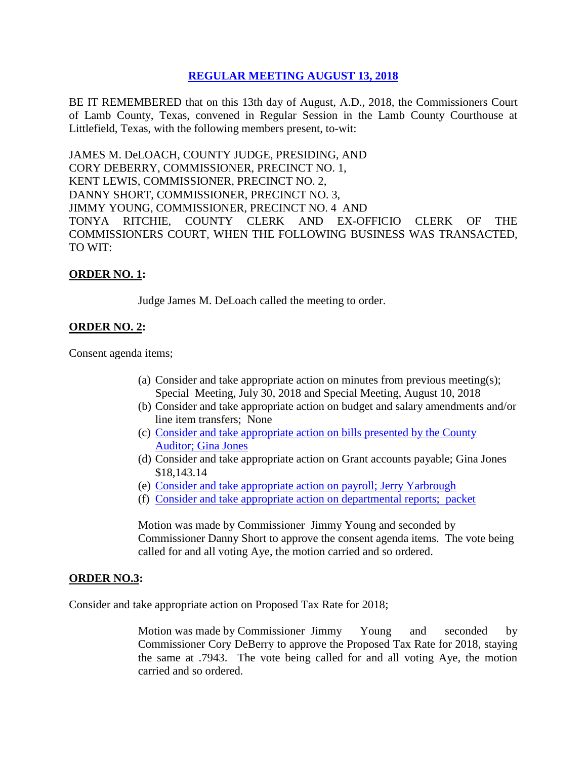# **REGULAR [MEETING AUGUST 13, 2018](Links%202018-08-13-Regular/01%20AGENDA%20REGULAR%20MEETING%20AUGUST%2013,%202018.pdf)**

BE IT REMEMBERED that on this 13th day of August, A.D., 2018, the Commissioners Court of Lamb County, Texas, convened in Regular Session in the Lamb County Courthouse at Littlefield, Texas, with the following members present, to-wit:

JAMES M. DeLOACH, COUNTY JUDGE, PRESIDING, AND CORY DEBERRY, COMMISSIONER, PRECINCT NO. 1, KENT LEWIS, COMMISSIONER, PRECINCT NO. 2, DANNY SHORT, COMMISSIONER, PRECINCT NO. 3, JIMMY YOUNG, COMMISSIONER, PRECINCT NO. 4 AND TONYA RITCHIE, COUNTY CLERK AND EX-OFFICIO CLERK OF THE COMMISSIONERS COURT, WHEN THE FOLLOWING BUSINESS WAS TRANSACTED, TO WIT:

## **ORDER NO. 1:**

Judge James M. DeLoach called the meeting to order.

## **ORDER NO. 2:**

Consent agenda items;

- (a) Consider and take appropriate action on minutes from previous meeting(s); Special Meeting, July 30, 2018 and Special Meeting, August 10, 2018
- (b) Consider and take appropriate action on budget and salary amendments and/or line item transfers; None
- (c) [Consider and take appropriate action on bills presented by the County](Links%202018-08-13-Regular/03%20ACCOUNTS%20PAYABLE%20REGULAR%20MEETING%20AUGUST%2013,%202018.pdf)  Auditor; [Gina Jones](Links%202018-08-13-Regular/03%20ACCOUNTS%20PAYABLE%20REGULAR%20MEETING%20AUGUST%2013,%202018.pdf)
- (d) Consider and take appropriate action on Grant accounts payable; Gina Jones \$18,143.14
- (e) [Consider and take appropriate action on payroll;](Links%202018-08-13-Regular/04%20PAYROLL%20PAYABLES%20REGULAR%20MEETING%20AUGUST%2013,%202018.pdf) Jerry Yarbrough
- (f) [Consider and take appropriate action on departmental reports; packet](Links%202018-08-13-Regular/05%20DEPARTMENTAL%20REPORTS%20REGULAR%20MEETING%20AUGUST%2013,%202018.pdf)

Motion was made by Commissioner Jimmy Young and seconded by Commissioner Danny Short to approve the consent agenda items. The vote being called for and all voting Aye, the motion carried and so ordered.

#### **ORDER NO.3:**

Consider and take appropriate action on Proposed Tax Rate for 2018;

Motion was made by Commissioner Jimmy Young and seconded by Commissioner Cory DeBerry to approve the Proposed Tax Rate for 2018, staying the same at .7943. The vote being called for and all voting Aye, the motion carried and so ordered.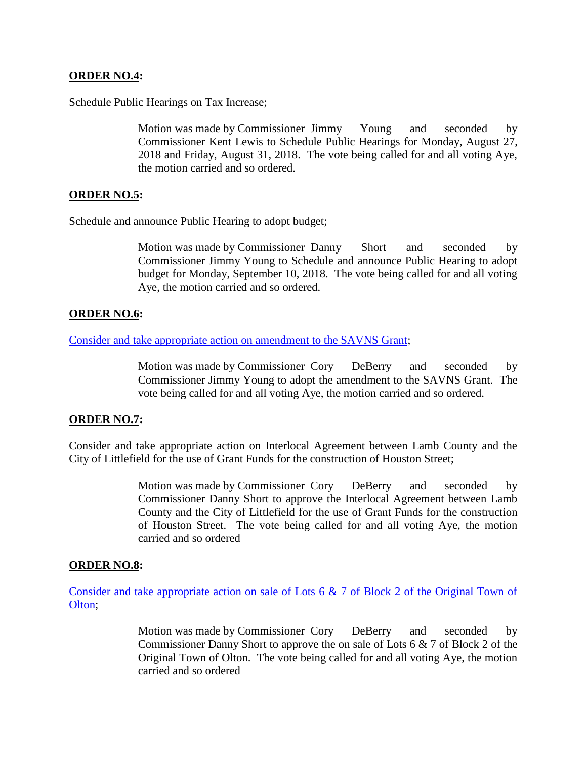## **ORDER NO.4:**

Schedule Public Hearings on Tax Increase;

Motion was made by Commissioner Jimmy Young and seconded by Commissioner Kent Lewis to Schedule Public Hearings for Monday, August 27, 2018 and Friday, August 31, 2018. The vote being called for and all voting Aye, the motion carried and so ordered.

## **ORDER NO.5:**

Schedule and announce Public Hearing to adopt budget;

Motion was made by Commissioner Danny Short and seconded by Commissioner Jimmy Young to Schedule and announce Public Hearing to adopt budget for Monday, September 10, 2018. The vote being called for and all voting Aye, the motion carried and so ordered.

## **ORDER NO.6:**

[Consider and take appropriate action on amendment to the SAVNS Grant;](Links%202018-08-13-Regular/06%20AMENDMENT%20TO%20SAVNS%20GRANT%20REGULAR%20MEETING%20AUGUST%2013,%202018.pdf)

Motion was made by Commissioner Cory DeBerry and seconded by Commissioner Jimmy Young to adopt the amendment to the SAVNS Grant. The vote being called for and all voting Aye, the motion carried and so ordered.

#### **ORDER NO.7:**

Consider and take appropriate action on Interlocal Agreement between Lamb County and the City of Littlefield for the use of Grant Funds for the construction of Houston Street;

> Motion was made by Commissioner Cory DeBerry and seconded by Commissioner Danny Short to approve the Interlocal Agreement between Lamb County and the City of Littlefield for the use of Grant Funds for the construction of Houston Street. The vote being called for and all voting Aye, the motion carried and so ordered

#### **ORDER NO.8:**

[Consider and take appropriate action on sale of Lots 6 & 7 of Block 2 of the Original Town of](Links%202018-08-13-Regular/08%20LOTS%206%20AND%207%20BLOCK%202%20ORIGINAL%20TOWN%20OF%20OLTON%20REGULAR%20MEETING%20AUGUST%2013,%202018.pdf)  [Olton;](Links%202018-08-13-Regular/08%20LOTS%206%20AND%207%20BLOCK%202%20ORIGINAL%20TOWN%20OF%20OLTON%20REGULAR%20MEETING%20AUGUST%2013,%202018.pdf)

> Motion was made by Commissioner Cory DeBerry and seconded by Commissioner Danny Short to approve the on sale of Lots 6 & 7 of Block 2 of the Original Town of Olton. The vote being called for and all voting Aye, the motion carried and so ordered